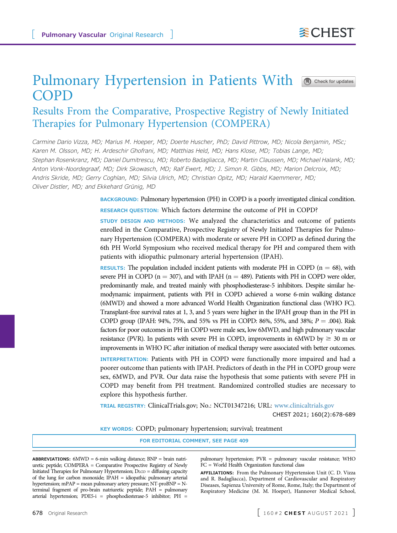# Pulmonary Hypertension in Patients With **O** Check for updates COPD

# Results From the Comparative, Prospective Registry of Newly Initiated Therapies for Pulmonary Hypertension (COMPERA)

Carmine Dario Vizza, MD; Marius M. Hoeper, MD; Doerte Huscher, PhD; David Pittrow, MD; Nicola Benjamin, MSc; Karen M. Olsson, MD; H. Ardeschir Ghofrani, MD; Matthias Held, MD; Hans Klose, MD; Tobias Lange, MD; Stephan Rosenkranz, MD; Daniel Dumitrescu, MD; Roberto Badagliacca, MD; Martin Claussen, MD; Michael Halank, MD; Anton Vonk-Noordegraaf, MD; Dirk Skowasch, MD; Ralf Ewert, MD; J. Simon R. Gibbs, MD; Marion Delcroix, MD; Andris Skride, MD; Gerry Coghlan, MD; Silvia Ulrich, MD; Christian Opitz, MD; Harald Kaemmerer, MD; Oliver Distler, MD; and Ekkehard Grünig, MD

> BACKGROUND: Pulmonary hypertension (PH) in COPD is a poorly investigated clinical condition. RESEARCH QUESTION: Which factors determine the outcome of PH in COPD?

> STUDY DESIGN AND METHODS: We analyzed the characteristics and outcome of patients enrolled in the Comparative, Prospective Registry of Newly Initiated Therapies for Pulmonary Hypertension (COMPERA) with moderate or severe PH in COPD as defined during the 6th PH World Symposium who received medical therapy for PH and compared them with patients with idiopathic pulmonary arterial hypertension (IPAH).

> RESULTS: The population included incident patients with moderate PH in COPD  $(n = 68)$ , with severe PH in COPD ( $n = 307$ ), and with IPAH ( $n = 489$ ). Patients with PH in COPD were older, predominantly male, and treated mainly with phosphodiesterase-5 inhibitors. Despite similar hemodynamic impairment, patients with PH in COPD achieved a worse 6-min walking distance (6MWD) and showed a more advanced World Health Organization functional class (WHO FC). Transplant-free survival rates at 1, 3, and 5 years were higher in the IPAH group than in the PH in COPD group (IPAH: 94%, 75%, and 55% vs PH in COPD: 86%, 55%, and 38%;  $P = .004$ ). Risk factors for poor outcomes in PH in COPD were male sex, low 6MWD, and high pulmonary vascular resistance (PVR). In patients with severe PH in COPD, improvements in 6MWD by  $\geq 30$  m or improvements in WHO FC after initiation of medical therapy were associated with better outcomes.

> INTERPRETATION: Patients with PH in COPD were functionally more impaired and had a poorer outcome than patients with IPAH. Predictors of death in the PH in COPD group were sex, 6MWD, and PVR. Our data raise the hypothesis that some patients with severe PH in COPD may benefit from PH treatment. Randomized controlled studies are necessary to explore this hypothesis further.

> TRIAL REGISTRY: ClinicalTrials.gov; No.: NCT01347216; URL: [www.clinicaltrials.gov](http://www.clinicaltrials.gov) CHEST 2021; 160(2):678-689

KEY WORDS: COPD; pulmonary hypertension; survival; treatment

#### FOR EDITORIAL COMMENT, SEE PAGE 409

ABBREVIATIONS: 6MWD = 6-min walking distance; BNP = brain natriuretic peptide; COMPERA = Comparative Prospective Registry of Newly Initiated Therapies for Pulmonary Hypertension; DLCO = diffusing capacity of the lung for carbon monoxide; IPAH = idiopathic pulmonary arterial hypertension; mPAP = mean pulmonary artery pressure; NT-proBNP = Nterminal fragment of pro-brain natriuretic peptide; PAH = pulmonary arterial hypertension; PDE5-i = phosphodiesterase-5 inhibitor; PH = pulmonary hypertension; PVR = pulmonary vascular resistance; WHO FC = World Health Organization functional class

AFFILIATIONS: From the Pulmonary Hypertension Unit (C. D. Vizza and R. Badagliacca), Department of Cardiovascular and Respiratory Diseases, Sapienza University of Rome, Rome, Italy; the Department of Respiratory Medicine (M. M. Hoeper), Hannover Medical School,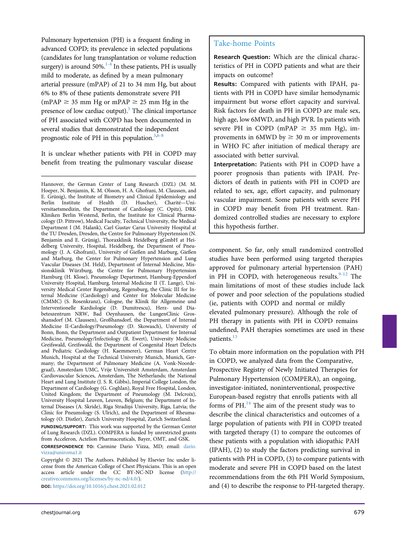Pulmonary hypertension (PH) is a frequent finding in advanced COPD; its prevalence in selected populations (candidates for lung transplantation or volume reduction surgery) is around  $50\%$ .<sup>[1-4](#page-10-0)</sup> In these patients, PH is usually mild to moderate, as defined by a mean pulmonary arterial pressure (mPAP) of 21 to 34 mm Hg, but about 6% to 8% of these patients demonstrate severe PH  $(mPAP \geq 35$  mm Hg or mPAP  $\geq 25$  mm Hg in the presence of low cardiac output).<sup>[5](#page-11-0)</sup> The clinical importance of PH associated with COPD has been documented in several studies that demonstrated the independent prognostic role of PH in this population. $3,6-8$  $3,6-8$  $3,6-8$ 

It is unclear whether patients with PH in COPD may benefit from treating the pulmonary vascular disease

Hannover, the German Center of Lung Research (DZL) (M. M. Hoeper, N. Benjamin, K. M. Olsson, H. A. Ghofrani, M. Claussen, and E. Grünig), the Institute of Biometry and Clinical Epidemiology and Berlin Institute of Health (D. Huscher), Charité—Universitaetsmedizin, the Department of Cardiology (C. Opitz), DRK Kliniken Berlin Westend, Berlin, the Institute for Clinical Pharmacology (D. Pittrow), Medical Faculty, Technical University, the Medical Department I (M. Halank), Carl Gustav Carus University Hospital at the TU Dresden, Dresden, the Centre for Pulmonary Hypertension (N. Benjamin and E. Grünig), Thoraxklinik Heidelberg gGmbH at Heidelberg University, Hospital, Heidelberg, the Department of Pneumology (J. A. Ghofrani), University of Gießen and Marburg, Gießen and Marburg, the Center for Pulmonary Hypertension and Lung Vascular Diseases (M. Held), Department of Internal Medicine, Missionsklinik Würzburg, the Centre for Pulmonary Hypertension Hamburg (H. Klose), Pneumology Department, Hamburg-Eppendorf University Hospital, Hamburg, Internal Medicine II (T. Lange), University Medical Center Regensburg, Regensburg, the Clinic III for Internal Medicine (Cardiology) and Center for Molecular Medicine (CMMC) (S. Rosenkranz), Cologne, the Klinik für Allgemeine und Interventionelle Kardiologie (D. Dumitrescu), Herz- und Diabeteszentrum NRW, Bad Oeynhausen, the LungenClinic Grosshansdorf (M. Claussen), Großhansdorf, the Department of Internal Medicine II-Cardiology/Pneumology (D. Skowasch), University of Bonn, Bonn, the Department and Outpatient Department for Internal Medicine, Pneumology/Infectiology (R. Ewert), University Medicine Greifswald, Greifswald, the Department of Congenital Heart Defects and Pediatric Cardiology (H. Kaemmerer), German Heart Centre Munich, Hospital at the Technical University Munich, Munich, Germany; the Department of Pulmonary Medicine (A. Vonk-Noordegraaf), Amsterdam UMC, Vrije Universiteit Amsterdam, Amsterdam Cardiovascular Sciences, Amsterdam, The Netherlands; the National Heart and Lung Institute (J. S. R. Gibbs), Imperial College London, the Department of Cardiology (G. Coghlan), Royal Free Hospital, London, United Kingdom; the Department of Pneumology (M. Delcroix), University Hospital Leuven, Leuven, Belgium; the Department of Internal Diseases (A. Skride), Riga Stradiņš University, Riga, Latvia; the Clinic for Pneumology (S. Ulrich), and the Department of Rheumatology (O. Distler), Zurich University Hospital, Zurich Switzerland.

FUNDING/SUPPORT: This work was supported by the German Center of Lung Research (DZL). COMPERA is funded by unrestricted grants from Acceleron, Actelion Pharmaceuticals, Bayer, OMT, and GSK.

CORRESPONDENCE TO: Carmine Dario Vizza, MD; email: [dario.](mailto:dario.vizza@uniroma1.it) [vizza@uniroma1.it](mailto:dario.vizza@uniroma1.it)

Copyright  $© 2021$  The Authors. Published by Elsevier Inc under license from the American College of Chest Physicians. This is an open access article under the CC BY-NC-ND license ([http://](http://creativecommons.org/licenses/by-nc-nd/4.0/) [creativecommons.org/licenses/by-nc-nd/4.0/\)](http://creativecommons.org/licenses/by-nc-nd/4.0/).

DOI: <https://doi.org/10.1016/j.chest.2021.02.012>

# Take-home Points

Research Question: Which are the clinical characteristics of PH in COPD patients and what are their impacts on outcome?

Results: Compared with patients with IPAH, patients with PH in COPD have similar hemodynamic impairment but worse effort capacity and survival. Risk factors for death in PH in COPD are male sex, high age, low 6MWD, and high PVR. In patients with severe PH in COPD (mPAP  $\geq$  35 mm Hg), improvements in 6MWD by  $\geq$  30 m or improvements in WHO FC after initiation of medical therapy are associated with better survival.

Interpretation: Patients with PH in COPD have a poorer prognosis than patients with IPAH. Predictors of death in patients with PH in COPD are related to sex, age, effort capacity, and pulmonary vascular impairment. Some patients with severe PH in COPD may benefit from PH treatment. Randomized controlled studies are necessary to explore this hypothesis further.

component. So far, only small randomized controlled studies have been performed using targeted therapies approved for pulmonary arterial hypertension (PAH) in PH in COPD, with heterogeneous results. $9-12$  The main limitations of most of these studies include lack of power and poor selection of the populations studied (ie, patients with COPD and normal or mildly elevated pulmonary pressure). Although the role of PH therapy in patients with PH in COPD remains undefined, PAH therapies sometimes are used in these patients.<sup>13</sup>

To obtain more information on the population with PH in COPD, we analyzed data from the Comparative, Prospective Registry of Newly Initiated Therapies for Pulmonary Hypertension (COMPERA), an ongoing, investigator-initiated, noninterventional, prospective European-based registry that enrolls patients with all forms of  $PH<sup>14</sup>$  $PH<sup>14</sup>$  $PH<sup>14</sup>$ . The aim of the present study was to describe the clinical characteristics and outcomes of a large population of patients with PH in COPD treated with targeted therapy (1) to compare the outcomes of these patients with a population with idiopathic PAH (IPAH), (2) to study the factors predicting survival in patients with PH in COPD, (3) to compare patients with moderate and severe PH in COPD based on the latest recommendations from the 6th PH World Symposium, and (4) to describe the response to PH-targeted therapy.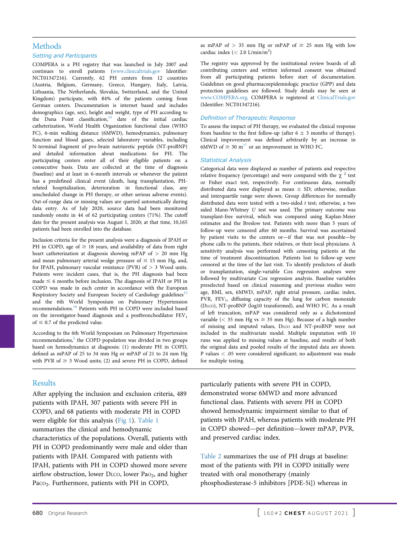## Methods

#### Setting and Participants

COMPERA is a PH registry that was launched in July 2007 and continues to enroll patients ([www.clinicaltrials.gov](http://www.clinicaltrials.gov) Identifier: NCT01347216). Currently, 62 PH centers from 12 countries (Austria, Belgium, Germany, Greece, Hungary, Italy, Latvia, Lithuania, The Netherlands, Slovakia, Switzerland, and the United Kingdom) participate, with 84% of the patients coming from German centers. Documentation is internet based and includes demographics (age, sex), height and weight, type of PH according to the Dana Point classification, $15$  date of the initial cardiac catheterization, World Health Organization functional class (WHO FC), 6-min walking distance (6MWD), hemodynamics, pulmonary function and blood gases, selected laboratory variables, including N-terminal fragment of pro-brain natriuretic peptide (NT-proBNP) and detailed information about medications for PH. The participating centers enter all of their eligible patients on a consecutive basis. Data are collected at the time of diagnosis (baseline) and at least in 6-month intervals or whenever the patient has a predefined clinical event (death, lung transplantation, PHrelated hospitalization, deterioration in functional class, any unscheduled change in PH therapy, or other serious adverse events). Out-of-range data or missing values are queried automatically during data entry. As of July 2020, source data had been monitored randomly onsite in 44 of 62 participating centers (71%). The cutoff date for the present analysis was August 1, 2020; at that time, 10,165 patients had been enrolled into the database.

Inclusion criteria for the present analysis were a diagnosis of IPAH or PH in COPD, age of  $\geq$  18 years, and availability of data from right heart catheterization at diagnosis showing mPAP of > 20 mm Hg and mean pulmonary arterial wedge pressure of  $\leq$  15 mm Hg, and, for IPAH, pulmonary vascular resistance (PVR) of > 3 Wood units. Patients were incident cases, that is, the PH diagnosis had been  $made \leq 6$  months before inclusion. The diagnosis of IPAH or PH in COPD was made in each center in accordance with the European Respiratory Society and European Society of Cardiology guidelines<sup>15</sup> and the 6th World Symposium on Pulmonary Hypertension recommendations[.16](#page-11-7) Patients with PH in COPD were included based on the investigator-based diagnosis and a postbronchodilator  $FEV<sub>1</sub>$ of  $\leq$  0.7 of the predicted value.

According to the 6th World Symposium on Pulmonary Hypertension recommendations,<sup>5</sup> the COPD population was divided in two groups based on hemodynamics at diagnosis: (1) moderate PH in COPD, defined as mPAP of 25 to 34 mm Hg or mPAP of 21 to 24 mm Hg with PVR of  $\geq$  3 Wood units; (2) and severe PH in COPD, defined

# Results

After applying the inclusion and exclusion criteria, 489 patients with IPAH, 307 patients with severe PH in COPD, and 68 patients with moderate PH in COPD were eligible for this analysis ([Fig 1](#page-3-0)). [Table 1](#page-4-0) summarizes the clinical and hemodynamic characteristics of the populations. Overall, patients with PH in COPD predominantly were male and older than patients with IPAH. Compared with patients with IPAH, patients with PH in COPD showed more severe airflow obstruction, lower DLCO, lower PaO<sub>2</sub>, and higher Paco<sub>2</sub>. Furthermore, patients with PH in COPD,

as mPAP of  $> 35$  mm Hg or mPAP of  $\geq 25$  mm Hg with low cardiac index  $(< 2.0$  L/min/m<sup>2</sup>)

The registry was approved by the institutional review boards of all contributing centers and written informed consent was obtained from all participating patients before start of documentation. Guidelines on good pharmacoepidemiologic practice (GPP) and data protection guidelines are followed. Study details may be seen at [www.COMPERA.org.](http://www.COMPERA.org) COMPERA is registered at [ClinicalTrials.gov](http://ClinicalTrials.gov) (Identifier: NCT01347216).

#### Definition of Therapeutic Response

To assess the impact of PH therapy, we evaluated the clinical response from baseline to the first follow-up (after  $6 \pm 3$  months of therapy). Clinical improvement was defined arbitrarily by an increase in 6MWD of  $\geq 30$  m<sup>[17](#page-11-8)</sup> or an improvement in WHO FC.

#### Statistical Analysis

Categorical data were displayed as number of patients and respective relative frequency (percentage) and were compared with the  $\chi^2$  test or Fisher exact test, respectively. For continuous data, normally distributed data were displayed as mean  $\pm$  SD; otherwise, median and interquartile range were shown. Group differences for normally distributed data were tested with a two-sided  $t$  test; otherwise, a two sided Mann-Whitney U test was used. The primary outcome was transplant-free survival, which was compared using Kaplan-Meier estimates and the Breslow test. Patients with more than 5 years of follow-up were censored after 60 months. Survival was ascertained by patient visits to the centers or—if that was not possible—by phone calls to the patients, their relatives, or their local physicians. A sensitivity analysis was performed with censoring patients at the time of treatment discontinuation. Patients lost to follow-up were censored at the time of the last visit. To identify predictors of death or transplantation, single-variable Cox regression analyses were followed by multivariate Cox regression analysis. Baseline variables preselected based on clinical reasoning and previous studies were age, BMI, sex, 6MWD, mPAP, right atrial pressure, cardiac index, PVR, FEV<sub>1</sub>, diffusing capacity of the lung for carbon monoxide (DLCO), NT-proBNP (log10 transformed), and WHO FC. As a result of left truncation, mPAP was considered only as a dichotomized variable ( $<$  35 mm Hg vs  $\ge$  35 mm Hg). Because of a high number of missing and imputed values, DLCO and NT-proBNP were not included in the multivariate model. Multiple imputation with 10 runs was applied to missing values at baseline, and results of both the original data and pooled results of the imputed data are shown. P values < .05 were considered significant; no adjustment was made for multiple testing.

particularly patients with severe PH in COPD, demonstrated worse 6MWD and more advanced functional class. Patients with severe PH in COPD showed hemodynamic impairment similar to that of patients with IPAH, whereas patients with moderate PH in COPD showed—per definition—lower mPAP, PVR, and preserved cardiac index.

[Table 2](#page-5-0) summarizes the use of PH drugs at baseline: most of the patients with PH in COPD initially were treated with oral monotherapy (mainly phosphodiesterase-5 inhibitors [PDE-5i]) whereas in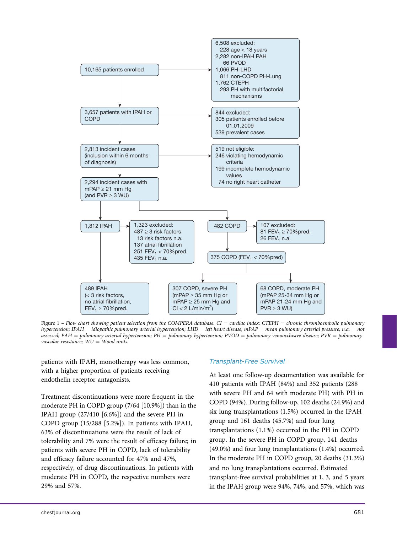<span id="page-3-0"></span>

Figure  $1$  – Flow chart showing patient selection from the COMPERA database.  $CI =$  cardiac index; CTEPH  $=$  chronic thromboembolic pulmonary hypertension; IPAH = idiopathic pulmonary arterial hypertension; LHD = left heart disease; mPAP = mean pulmonary arterial pressure; n.a. = not assessed; PAH = pulmonary arterial hypertension; PH = pulmonary hypertension; PVOD = pulmonary venoocclusive disease; PVR = pulmonary vascular resistance;  $WU = Wood$  units.

patients with IPAH, monotherapy was less common, with a higher proportion of patients receiving endothelin receptor antagonists.

Treatment discontinuations were more frequent in the moderate PH in COPD group (7/64 [10.9%]) than in the IPAH group (27/410 [6.6%]) and the severe PH in COPD group (15/288 [5.2%]). In patients with IPAH, 63% of discontinuations were the result of lack of tolerability and 7% were the result of efficacy failure; in patients with severe PH in COPD, lack of tolerability and efficacy failure accounted for 47% and 47%, respectively, of drug discontinuations. In patients with moderate PH in COPD, the respective numbers were 29% and 57%.

#### Transplant-Free Survival

At least one follow-up documentation was available for 410 patients with IPAH (84%) and 352 patients (288 with severe PH and 64 with moderate PH) with PH in COPD (94%). During follow-up, 102 deaths (24.9%) and six lung transplantations (1.5%) occurred in the IPAH group and 161 deaths (45.7%) and four lung transplantations (1.1%) occurred in the PH in COPD group. In the severe PH in COPD group, 141 deaths (49.0%) and four lung transplantations (1.4%) occurred. In the moderate PH in COPD group, 20 deaths (31.3%) and no lung transplantations occurred. Estimated transplant-free survival probabilities at 1, 3, and 5 years in the IPAH group were 94%, 74%, and 57%, which was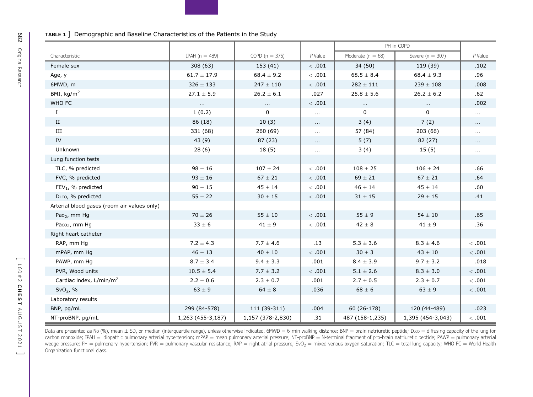<span id="page-4-0"></span>

|                                             |                   |                   |            | PH in COPD            |                      |            |
|---------------------------------------------|-------------------|-------------------|------------|-----------------------|----------------------|------------|
| Characteristic                              | IPAH $(n = 489)$  | COPD $(n = 375)$  | $P$ Value  | Moderate ( $n = 68$ ) | Severe ( $n = 307$ ) | $P$ Value  |
| Female sex                                  | 308 (63)          | 153(41)           | <.001      | 34(50)                | 119 (39)             | .102       |
| Age, y                                      | $61.7 \pm 17.9$   | $68.4 \pm 9.2$    | <.001      | $68.5 \pm 8.4$        | $68.4 \pm 9.3$       | .96        |
| 6MWD, m                                     | $326 \pm 133$     | $247 \pm 110$     | <.001      | $282 \pm 111$         | $239 \pm 108$        | .008       |
| BMI, $kg/m2$                                | $27.1 \pm 5.9$    | $26.2 \pm 6.1$    | .027       | $25.8 \pm 5.6$        | $26.2\pm6.2$         | .62        |
| WHO FC                                      | $\ldots$          | $\ldots$          | <.001      | $\ldots$              | $\ldots$             | .002       |
| $\mathbf{I}$                                | 1(0.2)            | $\Omega$          | $\cdots$   | $\Omega$              | $\Omega$             | $\dots$    |
| II                                          | 86 (18)           | 10(3)             | $\ldots$   | 3(4)                  | 7(2)                 | $\ldots$   |
| III                                         | 331 (68)          | 260 (69)          | $\cdots$   | 57 (84)               | 203 (66)             | $\ldots$   |
| ${\rm IV}$                                  | 43 (9)            | 87 (23)           | $\ldots$   | 5(7)                  | 82 (27)              | $\cdots$   |
| Unknown                                     | 28(6)             | 18(5)             | $\cdots$   | 3(4)                  | 15(5)                | $\dots$    |
| Lung function tests                         |                   |                   |            |                       |                      |            |
| TLC, % predicted                            | $98 \pm 16$       | $107\pm24$        | <.001      | $108 \pm 25$          | $106 \pm 24$         | .66        |
| FVC, % predicted                            | $93\pm16$         | $67 \pm 21$       | $<\, .001$ | $69 \pm 21$           | $67 \pm 21$          | .64        |
| FEV <sub>1</sub> , % predicted              | $90\pm15$         | $45 \pm 14$       | <.001      | $46\pm14$             | $45\,\pm\,14$        | .60        |
| DLCO, % predicted                           | $55 \pm 22$       | $30 \pm 15$       | <.001      | $31\pm15$             | $29 \pm 15$          | .41        |
| Arterial blood gases (room air values only) |                   |                   |            |                       |                      |            |
| Pao <sub>2</sub> , mm Hg                    | $70 \pm 26$       | $55\pm10$         | <.001      | 55 $\pm$ 9            | $54\pm10$            | .65        |
| Paco <sub>2</sub> , mm Hg                   | $33 \pm 6$        | $41 \pm 9$        | <.001      | $42\pm8$              | $41 \pm 9$           | .36        |
| Right heart catheter                        |                   |                   |            |                       |                      |            |
| RAP, mm Hg                                  | $7.2 \pm 4.3$     | $7.7 \pm 4.6$     | .13        | $5.3 \pm 3.6$         | $8.3 \pm 4.6$        | <.001      |
| mPAP, mm Hq                                 | $46 \pm 13$       | $40 \pm 10$       | <.001      | $30 \pm 3$            | $43 \pm 10$          | <.001      |
| PAWP, mm Hg                                 | $8.7 \pm 3.4$     | $9.4 \pm 3.3$     | .001       | $8.4 \pm 3.9$         | $9.7 \pm 3.2$        | .018       |
| PVR, Wood units                             | $10.5\pm5.4$      | $7.7 \pm 3.2$     | <.001      | $5.1\,\pm\,2.6$       | $8.3\pm3.0$          | $< .001$   |
| Cardiac index, L/min/m <sup>2</sup>         | $2.2 \pm 0.6$     | $2.3 \pm 0.7$     | .001       | $2.7 \pm 0.5$         | $2.3 \pm 0.7$        | <.001      |
| $SvO2$ , %                                  | $63 \pm 9$        | $64 \pm 8$        | .036       | $68 \pm 6$            | $63 \pm 9$           | <.001      |
| Laboratory results                          |                   |                   |            |                       |                      |            |
| BNP, pg/mL                                  | 299 (84-578)      | 111 (39-311)      | .004       | 60 (26-178)           | 120 (44-489)         | .023       |
| NT-proBNP, pg/mL                            | 1,263 (455-3,187) | 1,157 (378-2,830) | .31        | 487 (158-1,235)       | 1,395 (454-3,043)    | $<\, .001$ |

Data are presented as No (%), mean  $\pm$  SD, or median (interquartile range), unless otherwise indicated. 6MWD = 6-min walking distance; BNP = brain natriuretic peptide; DLco = diffusing capacity of the lung for carbon monoxide; IPAH = idiopathic pulmonary arterial hypertension; mPAP = mean pulmonary arterial pressure; NT-proBNP = N-terminal fragment of pro-brain natriuretic peptide; PAWP = pulmonary arterial wedge pressure; PH = pulmonary hypertension; PVR = pulmonary vascular resistance; RAP = right atrial pressure; SvO<sub>2</sub> = mixed venous oxygen saturation; TLC = total lung capacity; WHO FC = World Health Organization functional class.

 $\blacksquare$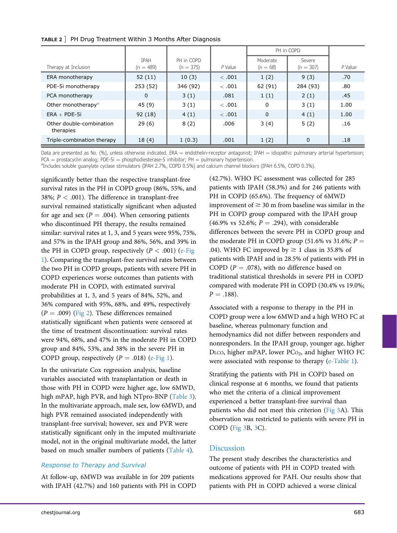#### <span id="page-5-0"></span>TABLE 2 ] PH Drug Treatment Within 3 Months After Diagnosis

|                                       |                            |                           |           | PH in COPD             |                       |           |
|---------------------------------------|----------------------------|---------------------------|-----------|------------------------|-----------------------|-----------|
| Therapy at Inclusion                  | <b>TPAH</b><br>$(n = 489)$ | PH in COPD<br>$(n = 375)$ | $P$ Value | Moderate<br>$(n = 68)$ | Severe<br>$(n = 307)$ | $P$ Value |
| ERA monotherapy                       | 52(11)                     | 10(3)                     | <.001     | 1(2)                   | 9(3)                  | .70       |
| PDE-5i monotherapy                    | 253 (52)                   | 346 (92)                  | <.001     | 62 (91)                | 284 (93)              | .80       |
| PCA monotherapy                       | 0                          | 3(1)                      | .081      | 1(1)                   | 2(1)                  | .45       |
| Other monotherapy <sup>a</sup>        | 45 (9)                     | 3(1)                      | <.001     | 0                      | 3(1)                  | 1.00      |
| $ERA + PDE-Si$                        | 92(18)                     | 4(1)                      | <.001     | $\mathbf 0$            | 4(1)                  | 1.00      |
| Other double-combination<br>therapies | 29(6)                      | 8(2)                      | .006      | 3(4)                   | 5(2)                  | .16       |
| Triple-combination therapy            | 18(4)                      | 1(0.3)                    | .001      | 1(2)                   | $\Omega$              | .18       |

Data are presented as No. (%), unless otherwise indicated.  $ERA =$  endothelin-receptor antagonist; IPAH = idiopathic pulmonary arterial hypertension;  $PCA = prostacyclin andoq; PDE-5i = phosphodiesterase-5 inhibitor; PH = pulmonary hypertension.$ 

<span id="page-5-1"></span><sup>a</sup>Includes soluble guanylate cyclase stimulators (IPAH 2.7%, COPD 0.5%) and calcium channel blockers (IPAH 6.5%, COPD 0.3%).

significantly better than the respective transplant-free survival rates in the PH in COPD group (86%, 55%, and 38%;  $P < .001$ ). The difference in transplant-free survival remained statistically significant when adjusted for age and sex ( $P = .004$ ). When censoring patients who discontinued PH therapy, the results remained similar: survival rates at 1, 3, and 5 years were 95%, 75%, and 57% in the IPAH group and 86%, 56%, and 39% in the PH in COPD group, respectively  $(P < .001)$  [\(e-Fig](#page-11-9) [1\)](#page-11-9). Comparing the transplant-free survival rates between the two PH in COPD groups, patients with severe PH in COPD experiences worse outcomes than patients with moderate PH in COPD, with estimated survival probabilities at 1, 3, and 5 years of 84%, 52%, and 36% compared with 95%, 68%, and 49%, respectively  $(P = .009)$  ([Fig 2](#page-6-0)). These differences remained statistically significant when patients were censored at the time of treatment discontinuation: survival rates were 94%, 68%, and 47% in the moderate PH in COPD group and 84%, 53%, and 38% in the severe PH in COPD group, respectively  $(P = .018)$  [\(e-Fig 1\)](#page-11-9).

In the univariate Cox regression analysis, baseline variables associated with transplantation or death in those with PH in COPD were higher age, low 6MWD, high mPAP, high PVR, and high NTpro-BNP ([Table 3](#page-7-0)). In the multivariate approach, male sex, low 6MWD, and high PVR remained associated independently with transplant-free survival; however, sex and PVR were statistically significant only in the imputed multivariate model, not in the original multivariate model, the latter based on much smaller numbers of patients [\(Table 4](#page-7-1)).

#### Response to Therapy and Survival

At follow-up, 6MWD was available in for 209 patients with IPAH (42.7%) and 160 patients with PH in COPD (42.7%). WHO FC assessment was collected for 285 patients with IPAH (58.3%) and for 246 patients with PH in COPD (65.6%). The frequency of 6MWD improvement of  $\geq 30$  m from baseline was similar in the PH in COPD group compared with the IPAH group (46.9% vs 52.6%;  $P = .294$ ), with considerable differences between the severe PH in COPD group and the moderate PH in COPD group (51.6% vs 31.6%;  $P =$ .04). WHO FC improved by  $\geq 1$  class in 35.8% of patients with IPAH and in 28.5% of patients with PH in COPD ( $P = .078$ ), with no difference based on traditional statistical thresholds in severe PH in COPD compared with moderate PH in COPD (30.4% vs 19.0%;  $P = .188$ ).

Associated with a response to therapy in the PH in COPD group were a low 6MWD and a high WHO FC at baseline, whereas pulmonary function and hemodynamics did not differ between responders and nonresponders. In the IPAH group, younger age, higher DLCO, higher mPAP, lower PCO<sub>2</sub>, and higher WHO FC were associated with response to therapy ([e-Table 1\)](#page-11-9).

Stratifying the patients with PH in COPD based on clinical response at 6 months, we found that patients who met the criteria of a clinical improvement experienced a better transplant-free survival than patients who did not meet this criterion [\(Fig 3A](#page-8-0)). This observation was restricted to patients with severe PH in COPD [\(Fig 3B](#page-8-0), [3C](#page-8-0)).

#### Discussion

The present study describes the characteristics and outcome of patients with PH in COPD treated with medications approved for PAH. Our results show that patients with PH in COPD achieved a worse clinical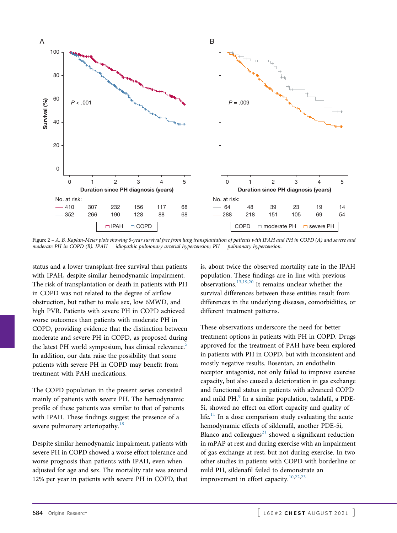<span id="page-6-0"></span>

Figure 2 – A, B, Kaplan-Meier plots showing 5-year survival free from lung transplantation of patients with IPAH and PH in COPD (A) and severe and moderate PH in COPD (B). IPAH = idiopathic pulmonary arterial hypertension; PH = pulmonary hypertension.

status and a lower transplant-free survival than patients with IPAH, despite similar hemodynamic impairment. The risk of transplantation or death in patients with PH in COPD was not related to the degree of airflow obstruction, but rather to male sex, low 6MWD, and high PVR. Patients with severe PH in COPD achieved worse outcomes than patients with moderate PH in COPD, providing evidence that the distinction between moderate and severe PH in COPD, as proposed during the latest PH world symposium, has clinical relevance.<sup>[5](#page-11-0)</sup> In addition, our data raise the possibility that some patients with severe PH in COPD may benefit from treatment with PAH medications.

The COPD population in the present series consisted mainly of patients with severe PH. The hemodynamic profile of these patients was similar to that of patients with IPAH. These findings suggest the presence of a severe pulmonary arteriopathy.<sup>[18](#page-11-10)</sup>

Despite similar hemodynamic impairment, patients with severe PH in COPD showed a worse effort tolerance and worse prognosis than patients with IPAH, even when adjusted for age and sex. The mortality rate was around 12% per year in patients with severe PH in COPD, that

is, about twice the observed mortality rate in the IPAH population. These findings are in line with previous observations.<sup>[13](#page-11-4)[,19](#page-11-11),[20](#page-11-12)</sup> It remains unclear whether the survival differences between these entities result from differences in the underlying diseases, comorbidities, or different treatment patterns.

These observations underscore the need for better treatment options in patients with PH in COPD. Drugs approved for the treatment of PAH have been explored in patients with PH in COPD, but with inconsistent and mostly negative results. Bosentan, an endothelin receptor antagonist, not only failed to improve exercise capacity, but also caused a deterioration in gas exchange and functional status in patients with advanced COPD and mild PH.<sup>[9](#page-11-3)</sup> In a similar population, tadalafil, a PDE-5i, showed no effect on effort capacity and quality of life. $11$  In a dose comparison study evaluating the acute hemodynamic effects of sildenafil, another PDE-5i, Blanco and colleagues $^{21}$  $^{21}$  $^{21}$  showed a significant reduction in mPAP at rest and during exercise with an impairment of gas exchange at rest, but not during exercise. In two other studies in patients with COPD with borderline or mild PH, sildenafil failed to demonstrate an improvement in effort capacity.<sup>[10](#page-11-15),[22](#page-11-16),[23](#page-11-17)</sup>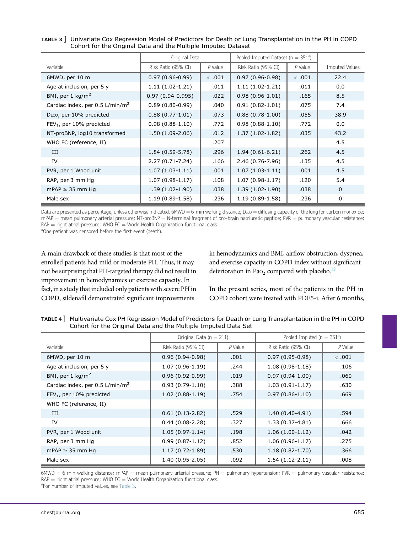|                                             | Original Data       |           | Pooled Imputed Dataset ( $n = 351^{\circ}$ ) |           |                |
|---------------------------------------------|---------------------|-----------|----------------------------------------------|-----------|----------------|
| Variable                                    | Risk Ratio (95% CI) | $P$ Value | Risk Ratio (95% CI)                          | $P$ Value | Imputed Values |
| 6MWD, per 10 m                              | $0.97(0.96 - 0.99)$ | <.001     | $0.97(0.96-0.98)$                            | <.001     | 22.4           |
| Age at inclusion, per 5 y                   | $1.11(1.02-1.21)$   | .011      | $1.11(1.02-1.21)$                            | .011      | 0.0            |
| BMI, per 1 $\text{kg/m}^2$                  | $0.97(0.94-0.995)$  | .022      | $0.98(0.96-1.01)$                            | .165      | 8.5            |
| Cardiac index, per 0.5 L/min/m <sup>2</sup> | $0.89(0.80 - 0.99)$ | .040      | $0.91(0.82 - 1.01)$                          | .075      | 7.4            |
| DLco, per 10% predicted                     | $0.88(0.77-1.01)$   | .073      | $0.88(0.78-1.00)$                            | .055      | 38.9           |
| $FEV1$ , per 10% predicted                  | $0.98(0.88-1.10)$   | .772      | $0.98(0.88-1.10)$                            | .772      | 0.0            |
| NT-proBNP, log10 transformed                | $1.50(1.09-2.06)$   | .012      | $1.37(1.02-1.82)$                            | .035      | 43.2           |
| WHO FC (reference, II)                      |                     | .207      |                                              |           | 4.5            |
| III                                         | $1.84(0.59-5.78)$   | .296      | $1.94(0.61-6.21)$                            | .262      | 4.5            |
| IV                                          | $2.27(0.71 - 7.24)$ | .166      | 2.46 (0.76-7.96)                             | .135      | 4.5            |
| PVR, per 1 Wood unit                        | $1.07(1.03-1.11)$   | .001      | $1.07(1.03-1.11)$                            | .001      | 4.5            |
| RAP, per 3 mm Hg                            | $1.07(0.98-1.17)$   | .108      | $1.07(0.98-1.17)$                            | .120      | 5.4            |
| $mPAP \geq 35$ mm Hg                        | $1.39(1.02-1.90)$   | .038      | $1.39(1.02-1.90)$                            | .038      | $\mathbf{0}$   |
| Male sex                                    | $1.19(0.89-1.58)$   | .236      | $1.19(0.89-1.58)$                            | .236      | 0              |

<span id="page-7-0"></span>TABLE 3 ] Univariate Cox Regression Model of Predictors for Death or Lung Transplantation in the PH in COPD Cohort for the Original Data and the Multiple Imputed Dataset

Data are presented as percentage, unless otherwise indicated. 6MWD = 6-min walking distance; DLco = diffusing capacity of the lung for carbon monoxide;  $m$ PAP = mean pulmonary arterial pressure; NT-proBNP = N-terminal fragment of pro-brain natriuretic peptide; PVR = pulmonary vascular resistance;  $RAP =$  right atrial pressure; WHO FC = World Health Organization functional class.

<span id="page-7-2"></span><sup>a</sup>One patient was censored before the first event (death).

A main drawback of these studies is that most of the enrolled patients had mild or moderate PH. Thus, it may not be surprising that PH-targeted therapy did not result in improvement in hemodynamics or exercise capacity. In fact, in a study that included only patients with severe PH in COPD, sildenafil demonstrated significant improvements

in hemodynamics and BMI, airflow obstruction, dyspnea, and exercise capacity in COPD index without significant deterioration in Pa $o_2$  compared with placebo.<sup>12</sup>

In the present series, most of the patients in the PH in COPD cohort were treated with PDE5-i. After 6 months,

|                                               | Original Data ( $n = 211$ ) |           | Pooled Imputed ( $n = 351^{\circ}$ ) |           |
|-----------------------------------------------|-----------------------------|-----------|--------------------------------------|-----------|
| Variable                                      | Risk Ratio (95% CI)         | $P$ Value | Risk Ratio (95% CI)                  | $P$ Value |
| 6MWD, per 10 m                                | $0.96(0.94-0.98)$           | .001      | $0.97(0.95-0.98)$                    | <.001     |
| Age at inclusion, per 5 y                     | $1.07(0.96-1.19)$           | .244      | $1.08(0.98-1.18)$                    | .106      |
| BMI, per 1 $\text{kg/m}^2$                    | $0.96(0.92-0.99)$           | .019      | $0.97(0.94-1.00)$                    | .060      |
| Cardiac index, per $0.5$ L/min/m <sup>2</sup> | $0.93(0.79-1.10)$           | .388      | $1.03(0.91-1.17)$                    | .630      |
| $FEV1$ , per 10% predicted                    | $1.02(0.88-1.19)$           | .754      | $0.97(0.86-1.10)$                    | .669      |
| WHO FC (reference, II)                        |                             |           |                                      |           |
| Ш                                             | $0.61(0.13-2.82)$           | .529      | $1.40(0.40-4.91)$                    | .594      |
| IV                                            | $0.44(0.08-2.28)$           | .327      | $1.33(0.37-4.81)$                    | .666      |
| PVR, per 1 Wood unit                          | $1.05(0.97-1.14)$           | .198      | $1.06(1.00-1.12)$                    | .042      |
| RAP, per 3 mm Hg                              | $0.99(0.87-1.12)$           | .852      | $1.06(0.96-1.17)$                    | .275      |
| $mPAP \geq 35$ mm Hq                          | $1.17(0.72-1.89)$           | .530      | $1.18(0.82 - 1.70)$                  | .366      |
| Male sex                                      | $1.40(0.95-2.05)$           | .092      | $1.54(1.12-2.11)$                    | .008      |

<span id="page-7-1"></span>TABLE 4 ] Multivariate Cox PH Regression Model of Predictors for Death or Lung Transplantation in the PH in COPD Cohort for the Original Data and the Multiple Imputed Data Set

 $6MWD = 6$ -min walking distance; mPAP = mean pulmonary arterial pressure; PH = pulmonary hypertension; PVR = pulmonary vascular resistance;  $RAP =$  right atrial pressure; WHO FC = World Health Organization functional class.

<span id="page-7-3"></span><sup>a</sup>For number of imputed values, see [Table 3.](#page-7-0)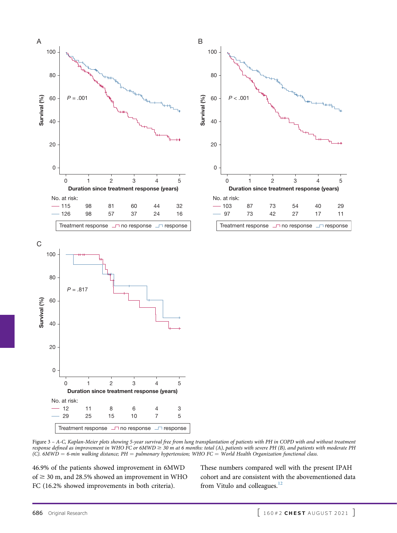<span id="page-8-0"></span>

Figure 3 – A-C, Kaplan-Meier plots showing 5-year survival free from lung transplantation of patients with PH in COPD with and without treatment response defined as improvement in WHO FC or 6MWD  $\geq$  30 m at 6 months: total (A), patients with severe PH (B), and patients with moderate PH (C). 6MWD = 6-min walking distance; PH = pulmonary hypertension; WHO FC = World Health Organization functional class.

46.9% of the patients showed improvement in 6MWD of  $\geq$  30 m, and 28.5% showed an improvement in WHO FC (16.2% showed improvements in both criteria).

These numbers compared well with the present IPAH cohort and are consistent with the abovementioned data from Vitulo and colleagues.<sup>[12](#page-11-18)</sup>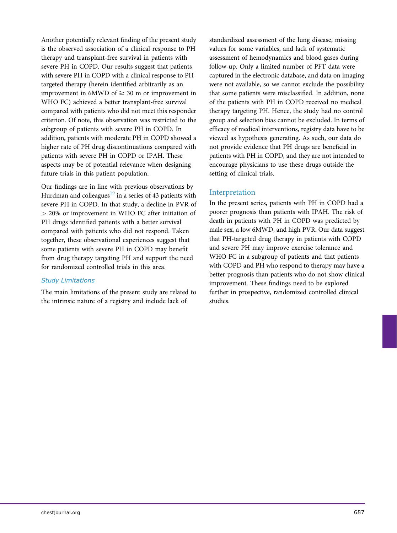Another potentially relevant finding of the present study is the observed association of a clinical response to PH therapy and transplant-free survival in patients with severe PH in COPD. Our results suggest that patients with severe PH in COPD with a clinical response to PHtargeted therapy (herein identified arbitrarily as an improvement in 6MWD of  $\geq$  30 m or improvement in WHO FC) achieved a better transplant-free survival compared with patients who did not meet this responder criterion. Of note, this observation was restricted to the subgroup of patients with severe PH in COPD. In addition, patients with moderate PH in COPD showed a higher rate of PH drug discontinuations compared with patients with severe PH in COPD or IPAH. These aspects may be of potential relevance when designing future trials in this patient population.

Our findings are in line with previous observations by Hurdman and colleagues $^{19}$  $^{19}$  $^{19}$  in a series of 43 patients with severe PH in COPD. In that study, a decline in PVR of > 20% or improvement in WHO FC after initiation of PH drugs identified patients with a better survival compared with patients who did not respond. Taken together, these observational experiences suggest that some patients with severe PH in COPD may benefit from drug therapy targeting PH and support the need for randomized controlled trials in this area.

#### Study Limitations

The main limitations of the present study are related to the intrinsic nature of a registry and include lack of

standardized assessment of the lung disease, missing values for some variables, and lack of systematic assessment of hemodynamics and blood gases during follow-up. Only a limited number of PFT data were captured in the electronic database, and data on imaging were not available, so we cannot exclude the possibility that some patients were misclassified. In addition, none of the patients with PH in COPD received no medical therapy targeting PH. Hence, the study had no control group and selection bias cannot be excluded. In terms of efficacy of medical interventions, registry data have to be viewed as hypothesis generating. As such, our data do not provide evidence that PH drugs are beneficial in patients with PH in COPD, and they are not intended to encourage physicians to use these drugs outside the setting of clinical trials.

## Interpretation

In the present series, patients with PH in COPD had a poorer prognosis than patients with IPAH. The risk of death in patients with PH in COPD was predicted by male sex, a low 6MWD, and high PVR. Our data suggest that PH-targeted drug therapy in patients with COPD and severe PH may improve exercise tolerance and WHO FC in a subgroup of patients and that patients with COPD and PH who respond to therapy may have a better prognosis than patients who do not show clinical improvement. These findings need to be explored further in prospective, randomized controlled clinical studies.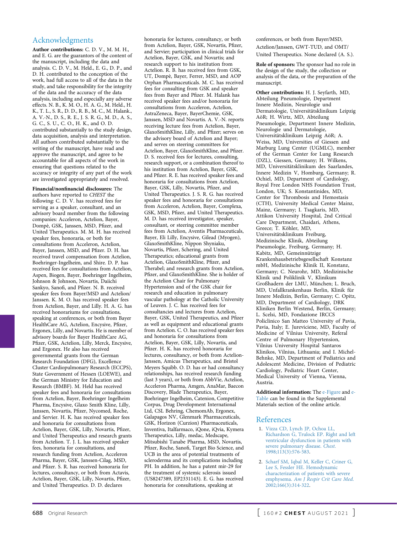# Acknowledgments

Author contributions: C. D. V., M. M. H., and E. G. are the guarantors of the content of the manuscript, including the data and analysis. C. D. V., M. Held., E. G., D. P., and D. H. contributed to the conception of the work, had full access to all of the data in the study, and take responsibility for the integrity of the data and the accuracy of the data analysis, including and especially any adverse effects. N. B., K. M. O., H. A. G., M. Held., H. K., T. L., S. R., D. D., R. B., M. C., M. Halank., A. V.-N., D. S., R. E., J. S. R. G., M. D., A. S., G. C., S. U., C. O., H. K., and O. D. contributed substantially to the study design, data acquisition, analysis and interpretation. All authors contributed substantially to the writing of the manuscript, have read and approve the manuscript, and agree to be accountable for all aspects of the work in ensuring that questions related to the accuracy or integrity of any part of the work are investigated appropriately and resolved.

Financial/nonfinancial disclosures: The authors have reported to CHEST the following: C. D. V. has received fees for serving as a speaker, consultant, and an advisory board member from the following companies: Acceleron, Actelion, Bayer, Dompè, GSK, Janssen, MSD, Pfizer, and United Therapeutics. M. M. H. has received speaker fees, honoraria, or both for consultations from Acceleron, Actelion, Bayer, Janssen, MSD, and Pfizer. D. H. has received travel compensation from Actelion, Boehringer-Ingelheim, and Shire. D. P. has received fees for consultations from Actelion, Aspen, Biogen, Bayer, Boehringer Ingelheim, Johnson & Johnson, Novartis, Daiichi Sankyo, Sanofi, and Pfizer. N. B. received speaker fees from Bayer/MSD and Actelion/ Janssen. K. M. O. has received speaker fees from Actelion, Bayer, and Lilly. H. A. G. has received honorariums for consultations, speaking at conferences, or both from Bayer HealthCare AG, Actelion, Encysive, Pfizer, Ergonex, Lilly, and Novartis. He is member of advisory boards for Bayer HealthCare AG, Pfizer, GSK, Actelion, Lilly, Merck, Encysive, and Ergonex. He also has received governmental grants from the German Research Foundation (DFG), Excellence Cluster Cardiopulmonary Research (ECCPS), State Government of Hessen (LOEWE), and the German Ministry for Education and Research (BMBF). M. Held has received speaker fees and honoraria for consultations from Actelion, Bayer, Boehringer Ingelheim Pharma, Encysive, Glaxo Smith Kline, Lilly, Janssen, Novartis, Pfizer, Nycomed, Roche, and Servier. H. K. has received speaker fees and honoraria for consultations from Actelion, Bayer, GSK, Lilly, Novartis, Pfizer, and United Therapeutics and research grants from Actelion. T. J. L. has received speaker fees, honoraria for consultations, and research funding from Actelion, Acceleron Pharma, Bayer, GSK, Janssen-Cilag, MSD, and Pfizer. S. R. has received honoraria for lectures, consultancy, or both from Actavis, Actelion, Bayer, GSK, Lilly, Novartis, Pfizer, and United Therapeutics. D. D. declares

honoraria for lectures, consultancy, or both from Actelion, Bayer, GSK, Novartis, Pfizer, and Servier; participation in clinical trials for Actelion, Bayer, GSK, and Novartis; and research support to his institution from Actelion. R. B. has received fees from GSK, UT, Dompè, Bayer, Ferrer, MSD, and AOP Orphan Pharmaceuticals. M. C. has received fees for consulting from GSK and speaker fees from Bayer and Pfizer. M. Halank has received speaker fees and/or honoraria for consultations from Acceleron, Actelion, AstraZeneca, Bayer, BayerChemie, GSK, Janssen, MSD and Novartis. A. V.-N. reports receiving lecture fees from Actelion, Bayer, GlaxoSmithKline, Lilly, and Pfizer; serves on the advisory board of Actelion and Bayer; and serves on steering committees for Actelion, Bayer, GlaxoSmithKline, and Pfizer. D. S. received fees for lectures, consulting, research support, or a combination thereof to his institution from Actelion, Bayer, GSK, and Pfizer. R. E. has received speaker fees and honoraria for consultations from Actelion, Bayer, GSK, Lilly, Novartis, Pfizer, and United Therapeutics. J. S. R. G. has received speaker fees and honoraria for consultations from Acceleron, Actelion, Bayer, Complexa, GSK, MSD, Pfizer, and United Therapeutics. M. D. has received investigator, speaker, consultant, or steering committee member fees from Actelion, Aventis Pharmaceuticals, Bayer, Eli Lilly, Encysive, Gilead (Myogen), GlaxoSmithKline, Nippon Shyniaku, Novartis, Pfizer, Schering, and United Therapeutics; educational grants from Actelion, GlaxoSmithKline, Pfizer, and Therabel; and research grants from Actelion, Pfizer, and GlaxoSmithKline. She is holder of the Actelion Chair for Pulmonary Hypertension and of the GSK chair for research and education in pulmonary vascular pathology at the Catholic University of Leuven. J. C. has received fees for consultancies and lectures from Actelion, Bayer, GSK, United Therapeutics, and Pfizer as well as equipment and educational grants from Actelion. C. O. has received speaker fees and honoraria for consultations from Actelion, Bayer, GSK, Lilly, Novartis, and Pfizer. H. K. has received honoraria for lectures, consultancy, or both from Actelion-Janssen, Amicus Therapeutics, and Bristol Meyers Squibb. O. D. has or had consultancy relationships, has received research funding (last 3 years), or both from AbbVie, Actelion, Acceleron Pharma, Amgen, AnaMar, Baecon Discovery, Blade Therapeutics, Bayer, Boehringer Ingelheim, Catenion, Competitive Corpus, Drug Development International Ltd, CSL Behring, ChemomAb, Ergonex, Galapagos NV, Glenmark Pharmaceuticals, GSK, Horizon (Curzion) Pharmaceuticals, Inventiva, Italfarmaco, iQone, iQvia, Kymera Therapeutics, Lilly, medac, Medscape, Mitsubishi Tanabe Pharma, MSD, Novartis, Pfizer, Roche, Sanofi, Target Bio Science, and UCB in the area of potential treatments of scleroderma and its complications including PH. In addition, he has a patent mir-29 for the treatment of systemic sclerosis issued (US8247389, EP2331143). E. G. has received honoraria for consultations, speaking at

conferences, or both from Bayer/MSD, Actelion/Janssen, GWT-TUD, and OMT/ United Therapeutics. None declared (A. S.).

Role of sponsors: The sponsor had no role in the design of the study, the collection or analysis of the data, or the preparation of the manuscript.

Other contributions: H. J. Seyfarth, MD, Abteilung Pneumologie, Department Innere Medizin, Neurologie und Dermatologie, Universitätsklinikum Leipzig AöR; H. Wirtz, MD, Abteilung Pneumologie, Department Innere Medizin, Neurologie und Dermatologie, Universitätsklinikum Leipzig AöR; A. Weiss, MD, Universities of Giessen and Marburg Lung Center (UGMLC), member of the German Center for Lung Research (DZL), Giessen, Germany; H. Wilkens, MD, Universitätsklinikum des Saarlandes, Innere Medizin V, Homburg, Germany; R. Ochiel, MD, Department of Cardiology, Royal Free London NHS Foundation Trust, London, UK; S. Konstantinides, MD, Center for Thrombosis and Hemostasis (CTH), University Medical Center Mainz, Mainz, Germany; I. Tsagkaris, MD, Attikon University Hospital, 2nd Critical Care Department, Chaidari, Athens, Greece; T. Köhler, MD, Universitätsklinikum Freiburg, Medizinische Klinik, Abteilung Pneumologie, Freiburg, Germany; H. Kabitz, MD, Gemeinnützige Krankenhausbetriebsgesellschaft Konstanz mbH, Medizinische Klinik II, Konstanz, Germany; C. Neurohr, MD, Medizinische Klinik und Poliklinik V, Klinikum Großhadern der LMU, München; L. Bruch, MD, Unfallkrankenhaus Berlin, Klinik für Innere Medizin, Berlin, Germany; C. Opitz, MD, Department of Cardiology, DRK Kliniken Berlin Westend, Berlin, Germany; L. Scelsi, MD, Fondazione IRCCS Policlinico San Matteo University of Pavia, Pavia, Italy; E. Jureviciene, MD, Faculty of Medicine of Vilnius University, Referal Centre of Pulmonary Hypertension, Vilnius University Hospital Santaros Klinikos, Vilnius, Lithuania; and I. Michel-Behnke, MD, Department of Pediatrics and Adolescent Medicine, Division of Pediatric Cardiology, Pediatric Heart Center, Medical University of Vienna, Vienna, Austria.

Additional information: The [e-Figure](#page-11-9) and [e-](#page-11-9)[Table](#page-11-9) can be found in the Supplemental Materials section of the online article.

#### <span id="page-10-0"></span>References

- 1. [Vizza CD, Lynch JP, Ochoa LL,](http://refhub.elsevier.com/S0012-3692(21)00272-5/sref1) [Richardson G, Trulock EP. Right and left](http://refhub.elsevier.com/S0012-3692(21)00272-5/sref1) [ventricular dysfunction in patients with](http://refhub.elsevier.com/S0012-3692(21)00272-5/sref1) [severe pulmonary disease.](http://refhub.elsevier.com/S0012-3692(21)00272-5/sref1) Chest. [1998;113\(3\):576-583.](http://refhub.elsevier.com/S0012-3692(21)00272-5/sref1)
- 2. [Scharf SM, Iqbal M, Keller C, Criner G,](http://refhub.elsevier.com/S0012-3692(21)00272-5/sref2) [Lee S, Fessler HE. Hemodynamic](http://refhub.elsevier.com/S0012-3692(21)00272-5/sref2) [characterization of patients with severe](http://refhub.elsevier.com/S0012-3692(21)00272-5/sref2) emphysema. [Am J Respir Crit Care Med](http://refhub.elsevier.com/S0012-3692(21)00272-5/sref2). [2002;166\(3\):314-322.](http://refhub.elsevier.com/S0012-3692(21)00272-5/sref2)